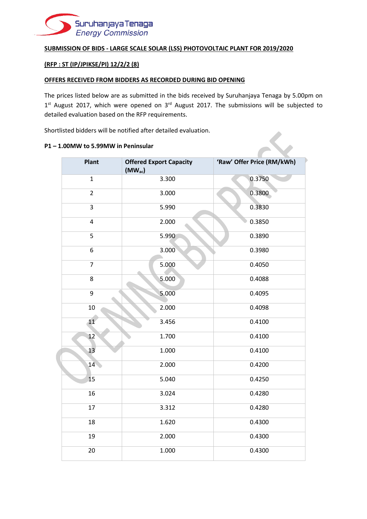

#### **SUBMISSION OF BIDS - LARGE SCALE SOLAR (LSS) PHOTOVOLTAIC PLANT FOR 2019/2020**

## **(RFP : ST (IP/JPIKSE/PI) 12/2/2 (8)**

#### **OFFERS RECEIVED FROM BIDDERS AS RECORDED DURING BID OPENING**

The prices listed below are as submitted in the bids received by Suruhanjaya Tenaga by 5.00pm on  $1<sup>st</sup>$  August 2017, which were opened on  $3<sup>rd</sup>$  August 2017. The submissions will be subjected to detailed evaluation based on the RFP requirements.

Shortlisted bidders will be notified after detailed evaluation.

#### **P1 – 1.00MW to 5.99MW in Peninsular**

| <b>Plant</b>   | <b>Offered Export Capacity</b><br>$(MW_{ac})$ | 'Raw' Offer Price (RM/kWh) |
|----------------|-----------------------------------------------|----------------------------|
| $\mathbf{1}$   | 3.300                                         | 0.3750                     |
| $\overline{2}$ | 3.000                                         | 0.3800                     |
| 3              | 5.990                                         | 0.3830                     |
| 4              | 2.000                                         | 0.3850                     |
| 5              | 5.990                                         | 0.3890                     |
| 6              | 3.000                                         | 0.3980                     |
| $\overline{7}$ | 5.000                                         | 0.4050                     |
| 8              | 5.000                                         | 0.4088                     |
| 9              | 5.000                                         | 0.4095                     |
| 10             | 2.000                                         | 0.4098                     |
| 11             | 3.456                                         | 0.4100                     |
| 12             | 1.700                                         | 0.4100                     |
| 13             | 1.000                                         | 0.4100                     |
| 14             | 2.000                                         | 0.4200                     |
| 15             | 5.040                                         | 0.4250                     |
| 16             | 3.024                                         | 0.4280                     |
| 17             | 3.312                                         | 0.4280                     |
| 18             | 1.620                                         | 0.4300                     |
| 19             | 2.000                                         | 0.4300                     |
|                | 1.000                                         | 0.4300                     |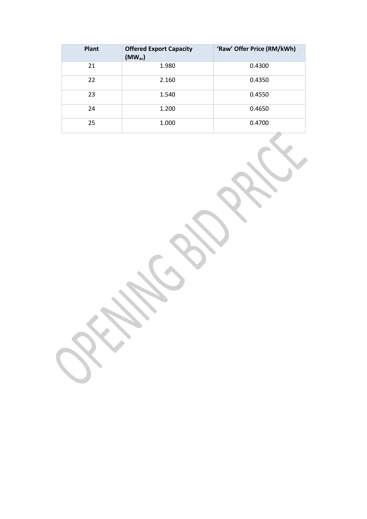| <b>Plant</b> | <b>Offered Export Capacity</b><br>$(MW_{ac})$ | 'Raw' Offer Price (RM/kWh) |
|--------------|-----------------------------------------------|----------------------------|
| 21           | 1.980                                         | 0.4300                     |
| 22           | 2.160                                         | 0.4350                     |
| 23           | 1.540                                         | 0.4550                     |
| 24           | 1.200                                         | 0.4650                     |
| 25           | 1.000                                         | 0.4700                     |

**SSS CONSTANT**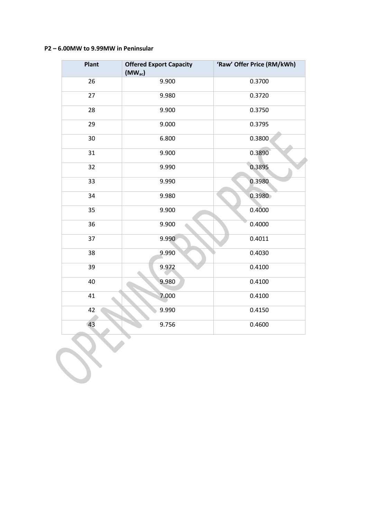### **P2 – 6.00MW to 9.99MW in Peninsular**

**Britter** 

| <b>Plant</b> | <b>Offered Export Capacity</b><br>$(MW_{ac})$ | 'Raw' Offer Price (RM/kWh) |
|--------------|-----------------------------------------------|----------------------------|
| 26           | 9.900                                         | 0.3700                     |
| 27           | 9.980                                         | 0.3720                     |
| 28           | 9.900                                         | 0.3750                     |
| 29           | 9.000                                         | 0.3795                     |
| 30           | 6.800                                         | 0.3800                     |
| 31           | 9.900                                         | 0.3890                     |
| 32           | 9.990                                         | 0.3895                     |
| 33           | 9.990                                         | 0.3980                     |
| 34           | 9.980                                         | 0.3980                     |
| 35           | 9.900                                         | 0.4000                     |
| 36           | 9.900                                         | 0.4000                     |
| 37           | 9.990                                         | 0.4011                     |
| 38           | 9.990                                         | 0.4030                     |
| 39           | 9.972                                         | 0.4100                     |
| 40           | 9.980                                         | 0.4100                     |
| 41           | 7.000                                         | 0.4100                     |
| 42           | 9.990                                         | 0.4150                     |
| 43           | 9.756                                         | 0.4600                     |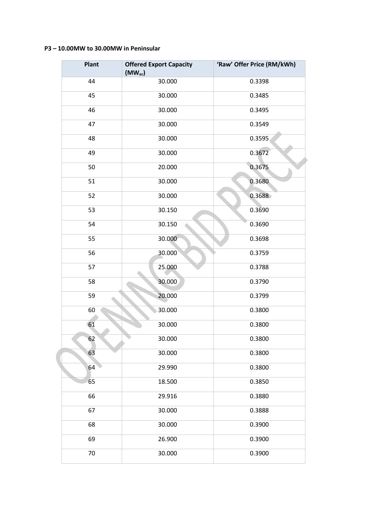### **P3 – 10.00MW to 30.00MW in Peninsular**

 $\overline{a}$ 

| Plant | <b>Offered Export Capacity</b><br>$(MW_{ac})$ | 'Raw' Offer Price (RM/kWh) |
|-------|-----------------------------------------------|----------------------------|
| 44    | 30.000                                        | 0.3398                     |
| 45    | 30.000                                        | 0.3485                     |
| 46    | 30.000                                        | 0.3495                     |
| 47    | 30.000                                        | 0.3549                     |
| 48    | 30.000                                        | 0.3595                     |
| 49    | 30.000                                        | 0.3672                     |
| 50    | 20.000                                        | 0.3675                     |
| 51    | 30.000                                        | 0.3680                     |
| 52    | 30.000                                        | 0.3688                     |
| 53    | 30.150                                        | 0.3690                     |
| 54    | 30.150                                        | 0.3690                     |
| 55    | 30.000                                        | 0.3698                     |
| 56    | 30.000                                        | 0.3759                     |
| 57    | 25.000                                        | 0.3788                     |
| 58    | 30.000                                        | 0.3790                     |
| 59    | 20.000                                        | 0.3799                     |
| 60    | 30.000                                        | 0.3800                     |
| 61    | 30.000                                        | 0.3800                     |
| 62    | 30.000                                        | 0.3800                     |
| 63    | 30.000                                        | 0.3800                     |
| 64    | 29.990                                        | 0.3800                     |
| 65    | 18.500                                        | 0.3850                     |
| 66    | 29.916                                        | 0.3880                     |
| 67    | 30.000                                        | 0.3888                     |
| 68    | 30.000                                        | 0.3900                     |
| 69    | 26.900                                        | 0.3900                     |
| 70    | 30.000                                        | 0.3900                     |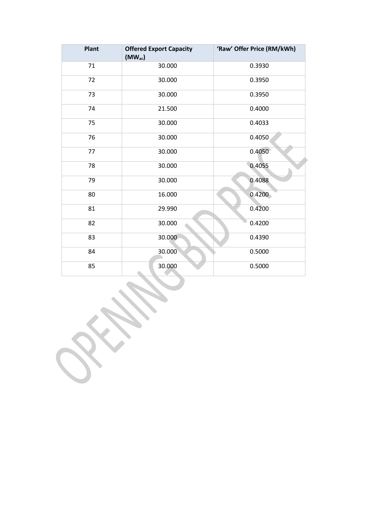| Plant | <b>Offered Export Capacity</b><br>$(MW_{ac})$ | 'Raw' Offer Price (RM/kWh) |
|-------|-----------------------------------------------|----------------------------|
| 71    | 30.000                                        | 0.3930                     |
| 72    | 30.000                                        | 0.3950                     |
| 73    | 30.000                                        | 0.3950                     |
| 74    | 21.500                                        | 0.4000                     |
| 75    | 30.000                                        | 0.4033                     |
| 76    | 30.000                                        | 0.4050                     |
| 77    | 30.000                                        | 0.4050                     |
| 78    | 30.000                                        | 0.4055                     |
| 79    | 30.000                                        | 0.4088                     |
| 80    | 16.000                                        | 0.4200                     |
| 81    | 29.990                                        | 0.4200                     |
| 82    | 30.000                                        | 0.4200                     |
| 83    | 30.000                                        | 0.4390                     |
| 84    | 30.000                                        | 0.5000                     |
| 85    | 30.000                                        | 0.5000                     |

**SURA** 

 $\mathbf{v}$ 

 $\sim$ X **SSS**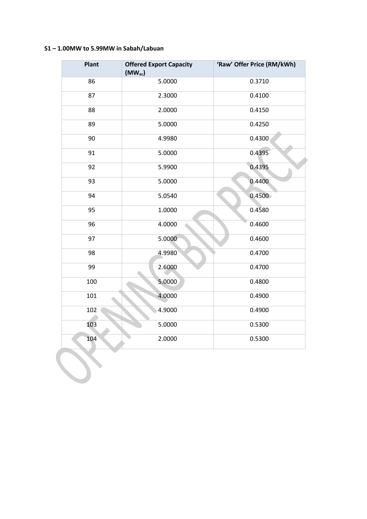# **S1 – 1.00MW to 5.99MW in Sabah/Labuan**

| <b>Plant</b> | <b>Offered Export Capacity</b><br>$(MW_{ac})$ | 'Raw' Offer Price (RM/kWh) |
|--------------|-----------------------------------------------|----------------------------|
| 86           | 5.0000                                        | 0.3710                     |
| 87           | 2.3000                                        | 0.4100                     |
| 88           | 2.0000                                        | 0.4150                     |
| 89           | 5.0000                                        | 0.4250                     |
| 90           | 4.9980                                        | 0.4300                     |
| 91           | 5.0000                                        | 0.4395                     |
| 92           | 5.9900                                        | 0.4395                     |
| 93           | 5.0000                                        | 0.4400                     |
| 94           | 5.0540                                        | 0.4500                     |
| 95           | 1.0000                                        | 0.4580                     |
| 96           | 4.0000                                        | 0.4600                     |
| 97           | 5.0000                                        | 0.4600                     |
| 98           | 4.9980                                        | 0.4700                     |
| 99           | 2.6000                                        | 0.4700                     |
| 100          | 5.0000                                        | 0.4800                     |
| 101          | 4.0000                                        | 0.4900                     |
| 102          | 4.9000                                        | 0.4900                     |
| 103          | 5.0000                                        | 0.5300                     |
| 104          | 2.0000                                        | 0.5300                     |